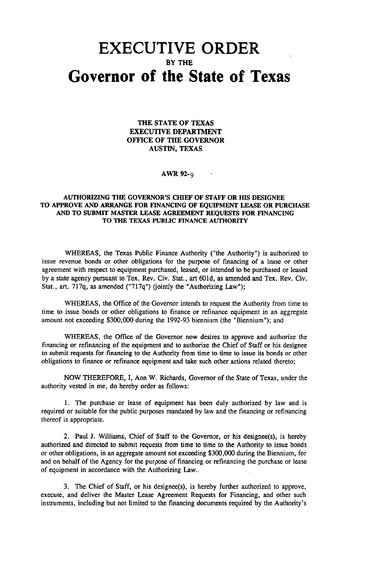## **EXECUTIVE ORDER** BY THE **Governor of the State of Texas**

THE STATE OF TEXAS EXECUTIVE DEPARTMENT OFFICE OF THE GOVERNOR AUSTIN, TEXAS

## AWR 92-9

## AUTHORIZING THE GOVERNOR'S CHIEF OF STAFF OR HIS DESIGNEE TO APPROVE AND ARRANGE FOR FINANCING OF EQUIPMENT LEASE OR PURCHASE AND TO SUBMIT MASTER LEASE AGREEMENT REQUESTS FOR FINANCING TO THE TEXAS PUBLIC FINANCE AUTHORITY

WHEREAS, the Texas Public Finance Authority ("the Authority") is authorized to issue revenue bonds or other obligations for the purpose of financing of a lease or other agreement with respect to equipment purchased, leased, or intended to be purchased or leased by a state agency pursuant to Tex. Rev. Civ. Stat., art 601d, as amended and Tex. Rev. Civ. Stat., art. 717q, as amended ("717q") (jointly the "Authorizing Law");

WHEREAS, the Office of the Governor intends to request the Authority from time to time to issue bonds or other obligations to finance or refinance equipment in an aggregate amount not exceeding \$300,000 during the 1992-93 biennium (the "Biennium"); and

WHEREAS, the Office of the Governor now desires to approve and authorize the financing or refinancing of the equipment and to authorize the Chief of Staff or his designee to submit requests for financing to the Authority from time to time to issue its bonds or other obligations to finance or refinance equipment and take such other actions related thereto;

NOW THEREFORE, I, Ann W. Richards, Governor of the State of Texas, under the authority vested in me, do hereby order as follows:

1. The purchase or lease of equipment has been duly authorized by law and is required or suitable for the public purposes mandated by law and the financing or refinancing thereof is appropriate.

2. Paul J. Williams, Chief of Staff to the Governor, or his designee(s), is hereby authorized and directed to submit requests from time to time to the Authority to issue bonds or other obligations, in an aggregate amount not exceeding \$300,000 during the Biennium, for and on behalf of the Agency for the purpose of financing or refinancing the purchase or lease of equipment in accordance with the Authorizing Law.

3. The Chief of Staff, or his designee(s), is hereby further authorized to approve, execute, and deliver the Master Lease Agreement Requests for Financing, and other such instruments, including but not limited to the financing documents required by the Authority's